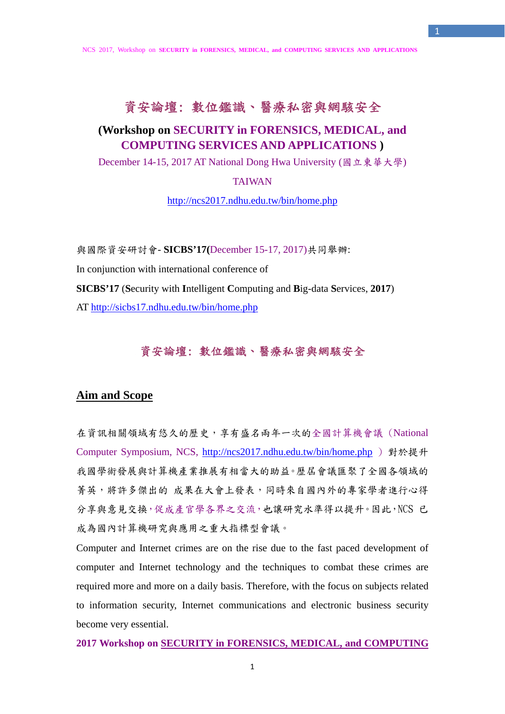1

# 資安論壇: 數位鑑識、醫療私密與網駭安全

## **(Workshop on SECURITY in FORENSICS, MEDICAL, and COMPUTING SERVICES AND APPLICATIONS )**

December 14-15, 2017 AT National Dong Hwa University (國立東華大學)

### TAIWAN

http://ncs2017.ndhu.edu.tw/bin/home.php

與國際資安研討會- **SICBS'17(**December 15-17, 2017)共同舉辦: In conjunction with international conference of **SICBS'17** (**S**ecurity with **I**ntelligent **C**omputing and **B**ig-data **S**ervices, **2017**) AT http://sicbs17.ndhu.edu.tw/bin/home.php

#### 資安論壇: 數位鑑識、醫療私密與網駭安全

### **Aim and Scope**

在資訊相關領域有悠久的歷史,享有盛名兩年一次的全國計算機會議 (National Computer Symposium, NCS, http://ncs2017.ndhu.edu.tw/bin/home.php ) 對於提升 我國學術發展與計算機產業推展有相當大的助益。歷屆會議匯聚了全國各領域的 菁英,將許多傑出的 成果在大會上發表,同時來自國內外的專家學者進行心得 分享與意見交換,促成產官學各界之交流,也讓研究水準得以提升。因此,NCS 已 成為國內計算機研究與應用之重大指標型會議。

Computer and Internet crimes are on the rise due to the fast paced development of computer and Internet technology and the techniques to combat these crimes are required more and more on a daily basis. Therefore, with the focus on subjects related to information security, Internet communications and electronic business security become very essential.

#### **2017 Workshop on SECURITY in FORENSICS, MEDICAL, and COMPUTING**

1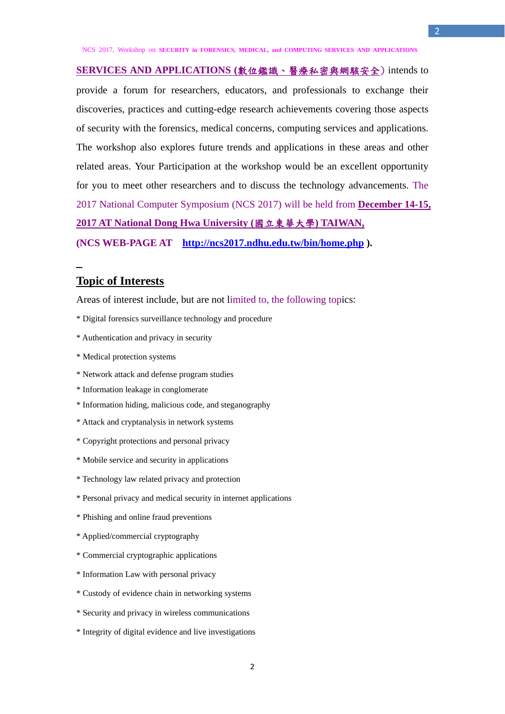**SERVICES AND APPLICATIONS (**數位鑑識、醫療私密與網駭安全) intends to provide a forum for researchers, educators, and professionals to exchange their discoveries, practices and cutting-edge research achievements covering those aspects of security with the forensics, medical concerns, computing services and applications. The workshop also explores future trends and applications in these areas and other related areas. Your Participation at the workshop would be an excellent opportunity for you to meet other researchers and to discuss the technology advancements. The 2017 National Computer Symposium (NCS 2017) will be held from **December 14-15, 2017 AT National Dong Hwa University (**國立東華大學**) TAIWAN, (NCS WEB-PAGE AT http://ncs2017.ndhu.edu.tw/bin/home.php ).** 

### **Topic of Interests**

Areas of interest include, but are not limited to, the following topics:

- \* Digital forensics surveillance technology and procedure
- \* Authentication and privacy in security
- \* Medical protection systems
- \* Network attack and defense program studies
- \* Information leakage in conglomerate
- \* Information hiding, malicious code, and steganography
- \* Attack and cryptanalysis in network systems
- \* Copyright protections and personal privacy
- \* Mobile service and security in applications
- \* Technology law related privacy and protection
- \* Personal privacy and medical security in internet applications
- \* Phishing and online fraud preventions
- \* Applied/commercial cryptography
- \* Commercial cryptographic applications
- \* Information Law with personal privacy
- \* Custody of evidence chain in networking systems
- \* Security and privacy in wireless communications
- \* Integrity of digital evidence and live investigations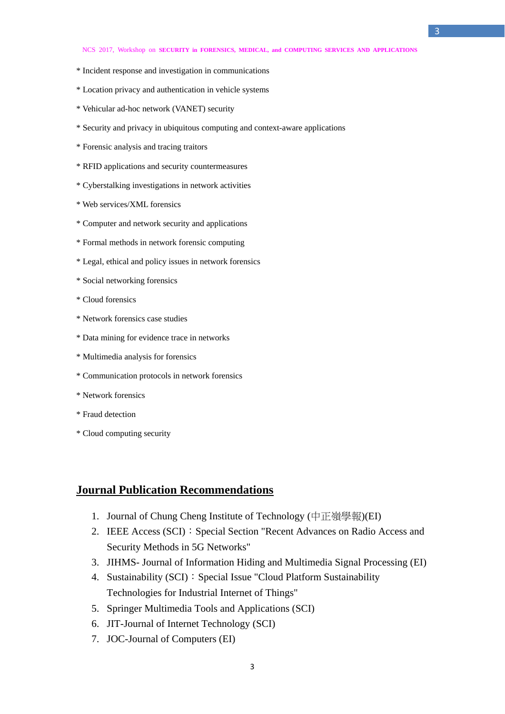- \* Incident response and investigation in communications
- \* Location privacy and authentication in vehicle systems
- \* Vehicular ad-hoc network (VANET) security
- \* Security and privacy in ubiquitous computing and context-aware applications
- \* Forensic analysis and tracing traitors
- \* RFID applications and security countermeasures
- \* Cyberstalking investigations in network activities
- \* Web services/XML forensics
- \* Computer and network security and applications
- \* Formal methods in network forensic computing
- \* Legal, ethical and policy issues in network forensics
- \* Social networking forensics
- \* Cloud forensics
- \* Network forensics case studies
- \* Data mining for evidence trace in networks
- \* Multimedia analysis for forensics
- \* Communication protocols in network forensics
- \* Network forensics
- \* Fraud detection
- \* Cloud computing security

### **Journal Publication Recommendations**

- 1. Journal of Chung Cheng Institute of Technology (中正嶺學報)(EI)
- 2. IEEE Access (SCI): Special Section "Recent Advances on Radio Access and Security Methods in 5G Networks"
- 3. JIHMS- Journal of Information Hiding and Multimedia Signal Processing (EI)
- 4. Sustainability (SCI): Special Issue "Cloud Platform Sustainability Technologies for Industrial Internet of Things"
- 5. Springer Multimedia Tools and Applications (SCI)
- 6. JIT-Journal of Internet Technology (SCI)
- 7. JOC-Journal of Computers (EI)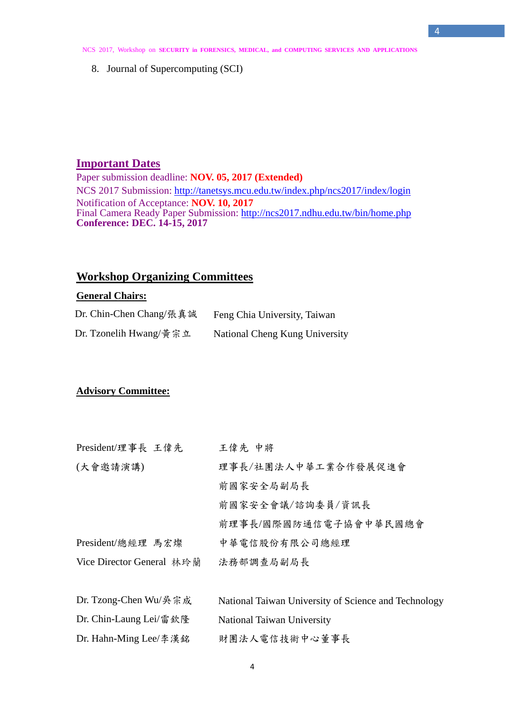4

8. Journal of Supercomputing (SCI)

# **Important Dates**

Paper submission deadline: **NOV. 05, 2017 (Extended)**  NCS 2017 Submission: http://tanetsys.mcu.edu.tw/index.php/ncs2017/index/login Notification of Acceptance: **NOV. 10, 2017** Final Camera Ready Paper Submission: http://ncs2017.ndhu.edu.tw/bin/home.php **Conference: DEC. 14-15, 2017** 

## **Workshop Organizing Committees**

### **General Chairs:**

| Dr. Chin-Chen Chang/張真誠 | Feng Chia University, Taiwan   |
|-------------------------|--------------------------------|
| Dr. Tzonelih Hwang/黄宗立  | National Cheng Kung University |

#### **Advisory Committee:**

| President/理事長 王偉先         | 王偉先 中將                                               |
|---------------------------|------------------------------------------------------|
| (大會邀請演講)                  | 理事長/社團法人中華工業合作發展促進會                                  |
|                           | 前國家安全局副局長                                            |
|                           | 前國家安全會議/諮詢委員/資訊長                                     |
|                           | 前理事長/國際國防通信電子協會中華民國總會                                |
| President/總經理 馬宏燦         | 中華電信股份有限公司總經理                                        |
| Vice Director General 林玲蘭 | 法務部調查局副局長                                            |
|                           |                                                      |
| Dr. Tzong-Chen Wu/吳宗成     | National Taiwan University of Science and Technology |
| Dr. Chin-Laung Lei/雷欽隆    | National Taiwan University                           |
| Dr. Hahn-Ming Lee/李漢銘     | 財團法人電信技術中心董事長                                        |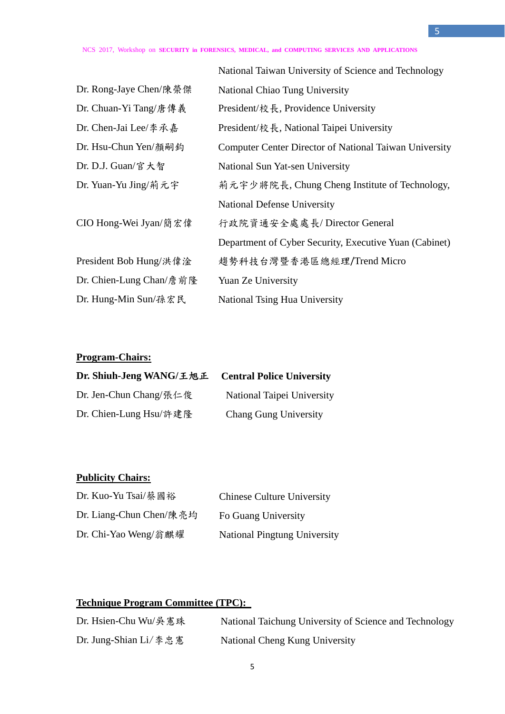|                         | National Taiwan University of Science and Technology          |
|-------------------------|---------------------------------------------------------------|
| Dr. Rong-Jaye Chen/陳榮傑  | National Chiao Tung University                                |
| Dr. Chuan-Yi Tang/唐傳義   | President/校長, Providence University                           |
| Dr. Chen-Jai Lee/李承嘉    | President/校長, National Taipei University                      |
| Dr. Hsu-Chun Yen/顏嗣鈞    | <b>Computer Center Director of National Taiwan University</b> |
| Dr. D.J. Guan/官大智       | National Sun Yat-sen University                               |
| Dr. Yuan-Yu Jing/荊元宇    | 荊元宇少將院長, Chung Cheng Institute of Technology,                 |
|                         | <b>National Defense University</b>                            |
| CIO Hong-Wei Jyan/簡宏偉   | 行政院資通安全處處長/Director General                                   |
|                         | Department of Cyber Security, Executive Yuan (Cabinet)        |
| President Bob Hung/洪偉淦  | 趨勢科技台灣暨香港區總經理/Trend Micro                                     |
| Dr. Chien-Lung Chan/詹前隆 | Yuan Ze University                                            |
| Dr. Hung-Min Sun/孫宏民    | <b>National Tsing Hua University</b>                          |

## **Program-Chairs:**

| Dr. Shiuh-Jeng WANG/王旭正 | <b>Central Police University</b> |
|-------------------------|----------------------------------|
| Dr. Jen-Chun Chang/張仁俊  | National Taipei University       |
| Dr. Chien-Lung Hsu/許建隆  | <b>Chang Gung University</b>     |

## **Publicity Chairs:**

| Dr. Kuo-Yu Tsai/蔡國裕     | <b>Chinese Culture University</b>   |
|-------------------------|-------------------------------------|
| Dr. Liang-Chun Chen/陳亮均 | Fo Guang University                 |
| Dr. Chi-Yao Weng/翁麒耀    | <b>National Pingtung University</b> |

# **Technique Program Committee (TPC):**

| Dr. Hsien-Chu Wu/吳 憲珠 | National Taichung University of Science and Technology |
|-----------------------|--------------------------------------------------------|
| Dr. Jung-Shian Li/李忠憲 | National Cheng Kung University                         |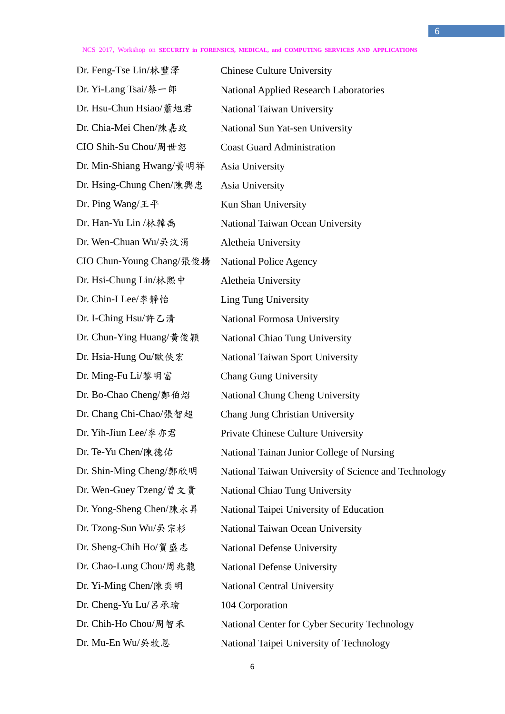Dr. Feng-Tse Lin/林豐澤 Dr. Yi-Lang Tsai/蔡一郎 Dr. Hsu-Chun Hsiao/蕭旭君 Dr. Chia-Mei Chen/陳嘉玫 CIO Shih-Su Chou/周世恕 Dr. Min-Shiang Hwang/黃明祥 Dr. Hsing-Chung Chen/陳興忠 Asia University Dr. Ping Wang/王平 Kun Shan University Dr. Wen-Chuan Wu/吳汶涓 CIO Chun-Young Chang/張俊揚 Dr. Hsi-Chung Lin/林熙中 Aletheia University Dr. Chin-I Lee/李靜怡 Dr. I-Ching Hsu/許乙清 Dr. Ming-Fu Li/黎明富 Chang Gung University Dr. Sheng-Chih Ho/賀盛志 National Defense University Dr. Chao-Lung Chou/周兆龍 National Defense University Dr. Yi-Ming Chen/陳奕明 National Central University Dr. Cheng-Yu Lu/呂承瑜 104 Corporation

Chinese Culture University National Applied Research Laboratories National Taiwan University National Sun Yat-sen University Coast Guard Administration Asia University Dr. Han-Yu Lin /林韓禹 National Taiwan Ocean University Aletheia University National Police Agency Ling Tung University National Formosa University Dr. Chun-Ying Huang/黃俊穎 National Chiao Tung University Dr. Hsia-Hung Ou/歐俠宏 National Taiwan Sport University Dr. Bo-Chao Cheng/鄭伯炤 National Chung Cheng University Dr. Chang Chi-Chao/張智超 Chang Jung Christian University Dr. Yih-Jiun Lee/李亦君 Private Chinese Culture University Dr. Te-Yu Chen/陳德佑 National Tainan Junior College of Nursing Dr. Shin-Ming Cheng/鄭欣明 National Taiwan University of Science and Technology Dr. Wen-Guey Tzeng/曾文貴 National Chiao Tung University Dr. Yong-Sheng Chen/陳永昇 National Taipei University of Education Dr. Tzong-Sun Wu/吳宗杉 National Taiwan Ocean University Dr. Chih-Ho Chou/周智禾 National Center for Cyber Security Technology Dr. Mu-En Wu/吳牧恩 National Taipei University of Technology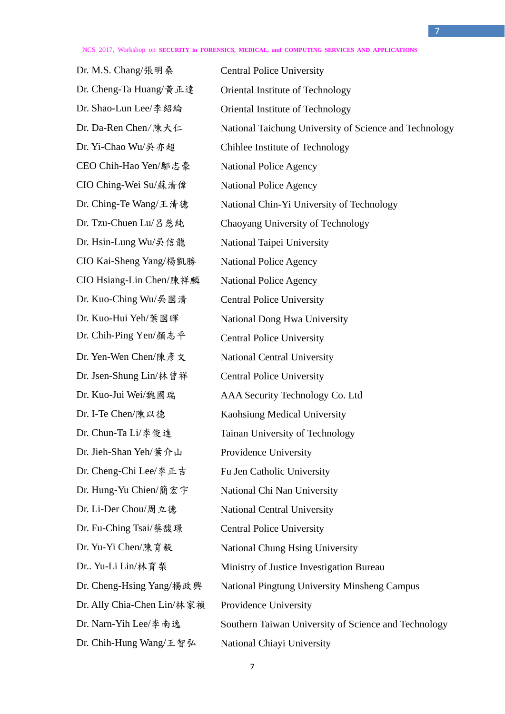7

Dr. M.S. Chang/張明桑 Central Police University Dr. Yi-Chao Wu/吳亦超 CEO Chih-Hao Yen/鄢志豪 CIO Ching-Wei Su/蘇清偉 Dr. Ching-Te Wang/王清德 Dr. Tzu-Chuen Lu/呂慈純 Dr. Hsin-Lung Wu/吳信龍 National Taipei University CIO Kai-Sheng Yang/楊凱勝 National Police Agency CIO Hsiang-Lin Chen/陳祥麟 National Police Agency Dr. Kuo-Ching Wu/吳國清 Central Police University Dr. Chih-Ping Yen/顏志平 Central Police University Dr. Yen-Wen Chen/陳彥文 National Central University Dr. Jsen-Shung Lin/林曾祥 Central Police University Dr. Jieh-Shan Yeh/葉介山 Providence University Dr. Cheng-Chi Lee/李正吉 Fu Jen Catholic University Dr. Hung-Yu Chien/簡宏宇 National Chi Nan University Dr. Li-Der Chou/周立德 National Central University Dr. Fu-Ching Tsai/蔡馥璟 Central Police University Dr. Ally Chia-Chen Lin/林家禎 Providence University Dr. Chih-Hung Wang/王智弘 National Chiayi University

Dr. Cheng-Ta Huang/黃正達 Oriental Institute of Technology Dr. Shao-Lun Lee/李紹綸 Oriental Institute of Technology Dr. Da-Ren Chen/陳大仁 National Taichung University of Science and Technology Chihlee Institute of Technology National Police Agency National Police Agency National Chin-Yi University of Technology Chaoyang University of Technology Dr. Kuo-Hui Yeh/葉國暉 National Dong Hwa University Dr. Kuo-Jui Wei/魏國瑞 AAA Security Technology Co. Ltd Dr. I-Te Chen/陳以德 Kaohsiung Medical University Dr. Chun-Ta Li/李俊達 Tainan University of Technology Dr. Yu-Yi Chen/陳育毅 National Chung Hsing University Dr.. Yu-Li Lin/林育梨 Ministry of Justice Investigation Bureau Dr. Cheng-Hsing Yang/楊政興 National Pingtung University Minsheng Campus Dr. Narn-Yih Lee/李南逸 Southern Taiwan University of Science and Technology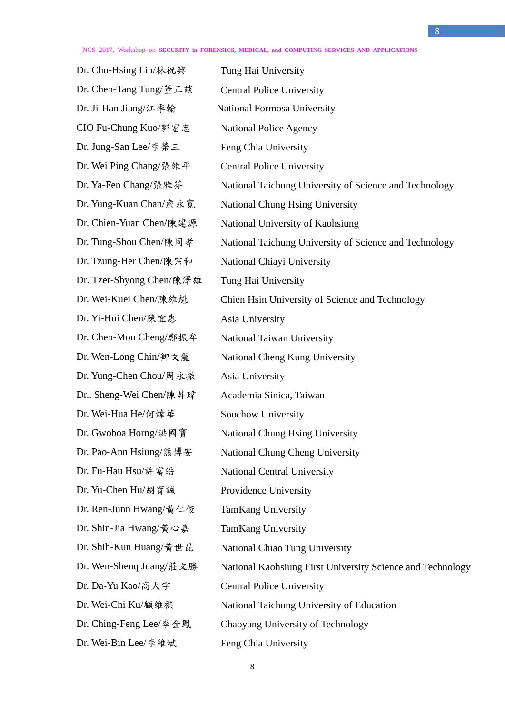8

Dr. Chu-Hsing Lin/林祝興 Dr. Chen-Tang Tung/董正談 Tung Hai University Central Police University Dr. Ji-Han Jiang/江季翰 National Formosa University CIO Fu-Chung Kuo/郭富忠 Dr. Jung-San Lee/李榮三 National Police Agency Feng Chia University Dr. Wei Ping Chang/張維平 Central Police University Dr. Ya-Fen Chang/張雅芬 National Taichung University of Science and Technology Dr. Yung-Kuan Chan/詹永寬 National Chung Hsing University Dr. Chien-Yuan Chen/陳建源 National University of Kaohsiung Dr. Tung-Shou Chen/陳同孝 National Taichung University of Science and Technology Dr. Tzung-Her Chen/陳宗和 National Chiayi University Dr. Tzer-Shyong Chen/陳澤雄 Tung Hai University Dr. Wei-Kuei Chen/陳維魁 Chien Hsin University of Science and Technology Dr. Yi-Hui Chen/陳宜惠 Asia University Dr. Chen-Mou Cheng/鄭振牟 National Taiwan University Dr. Wen-Long Chin/卿文龍 National Cheng Kung University Dr. Yung-Chen Chou/周永振 Asia University Dr.. Sheng-Wei Chen/陳昇瑋 Academia Sinica, Taiwan Dr. Wei-Hua He/何煒華 Soochow University Dr. Gwoboa Horng/洪國寶 National Chung Hsing University Dr. Pao-Ann Hsiung/熊博安 National Chung Cheng University Dr. Fu-Hau Hsu/許富皓 National Central University Dr. Yu-Chen Hu/胡育誠 Providence University Dr. Ren-Junn Hwang/黃仁俊 TamKang University Dr. Shin-Jia Hwang/黃心嘉 TamKang University Dr. Shih-Kun Huang/黃世昆 National Chiao Tung University Dr. Wen-Shenq Juang/莊文勝 National Kaohsiung First University Science and Technology Dr. Da-Yu Kao/高大宇 Central Police University Dr. Wei-Chi Ku/顧維祺 National Taichung University of Education Dr. Ching-Feng Lee/李金鳳 Chaoyang University of Technology Dr. Wei-Bin Lee/李維斌 Feng Chia University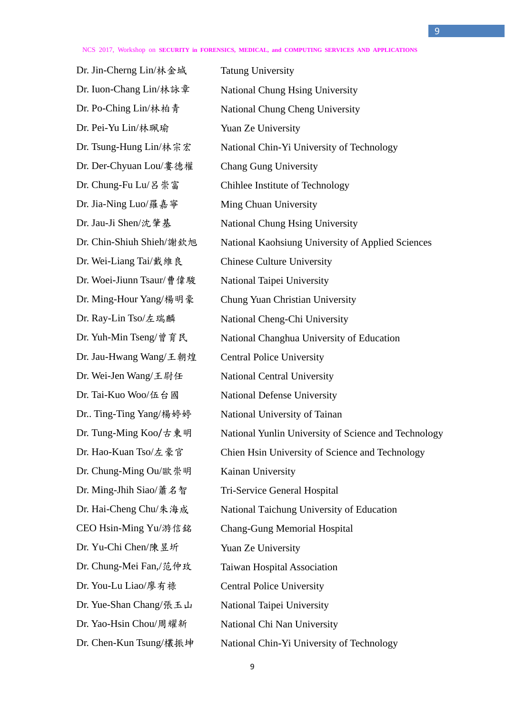Dr. Jin-Cherng Lin/林金城 Tatung University Dr. Pei-Yu Lin/林珮瑜 Yuan Ze University Dr. Der-Chyuan Lou/婁德權 Chang Gung University Dr. Jia-Ning Luo/羅嘉寧 Ming Chuan University Dr. Wei-Liang Tai/戴維良 Chinese Culture University Dr. Woei-Jiunn Tsaur/曹偉駿 National Taipei University Dr. Jau-Hwang Wang/王朝煌 Central Police University Dr. Tai-Kuo Woo/伍台國 Dr.. Ting-Ting Yang/楊婷婷 Dr. Tung-Ming Koo/古東明 Dr. Hao-Kuan Tso/左豪官 Dr. Chung-Ming Ou/歐崇明 Dr. Ming-Jhih Siao/蕭名智 Dr. Hai-Cheng Chu/朱海成 CEO Hsin-Ming Yu/游信銘 Dr. Yu-Chi Chen/陳昱圻 Dr. Chung-Mei Fan,/范仲玫 Dr. You-Lu Liao/廖有祿 Dr. Yue-Shan Chang/張玉山 Dr. Yao-Hsin Chou/周耀新 Dr. Chen-Kun Tsung/欉振坤

Dr. Iuon-Chang Lin/林詠章 National Chung Hsing University Dr. Po-Ching Lin/林柏青 National Chung Cheng University Dr. Tsung-Hung Lin/林宗宏 National Chin-Yi University of Technology Dr. Chung-Fu Lu/呂崇富 Chihlee Institute of Technology Dr. Jau-Ji Shen/沈肇基 National Chung Hsing University Dr. Chin-Shiuh Shieh/謝欽旭 National Kaohsiung University of Applied Sciences Dr. Ming-Hour Yang/楊明豪 Chung Yuan Christian University Dr. Ray-Lin Tso/左瑞麟 National Cheng-Chi University Dr. Yuh-Min Tseng/曾育民 National Changhua University of Education Dr. Wei-Jen Wang/王尉任 National Central University National Defense University National University of Tainan National Yunlin University of Science and Technology Chien Hsin University of Science and Technology Kainan University Tri-Service General Hospital National Taichung University of Education Chang-Gung Memorial Hospital Yuan Ze University Taiwan Hospital Association Central Police University National Taipei University National Chi Nan University National Chin-Yi University of Technology